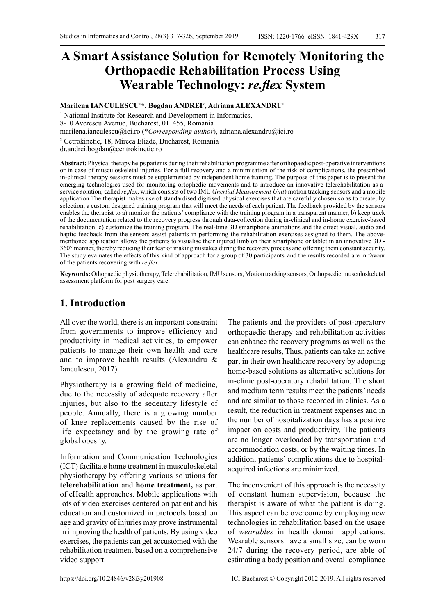# **A Smart Assistance Solution for Remotely Monitoring the Orthopaedic Rehabilitation Process Using Wearable Technology:** *re.flex* **System**

**Marilena IANCULESCU1 \*, Bogdan ANDREI2 , Adriana ALEXANDRU1**

<sup>1</sup> National Institute for Research and Development in Informatics, 8-10 Averescu Avenue, Bucharest, 011455, Romania [marilena.ianculescu@ici.ro](mailto:marilena.ianculescu@ici.ro) (\**Corresponding author*), [adriana.alexandru@ici.ro](mailto:adriana.alexandru@ici.ro)

2 Cetrokinetic, 18, Mircea Eliade, Bucharest, Romania

dr.andrei.bogdan@centrokinetic.ro

**Abstract:** Physical therapy helps patients during their rehabilitation programme after orthopaedic post-operative interventions or in case of musculoskeletal injuries. For a full recovery and a minimisation of the risk of complications, the prescribed in-clinical therapy sessions must be supplemented by independent home training. The purpose of this paper is to present the emerging technologies used for monitoring ortophedic movements and to introduce an innovative telerehabilitation-as-aservice solution, called *re.flex*, which consists of two IMU (*Inertial Measurement Unit*) motion tracking sensors and a mobile application The therapist makes use of standardised digitised physical exercises that are carefully chosen so as to create, by selection, a custom designed training program that will meet the needs of each patient. The feedback provided by the sensors enables the therapist to a) monitor the patients' compliance with the training program in a transparent manner, b) keep track of the documentation related to the recovery progress through data-collection during in-clinical and in-home exercise-based rehabilitation c) customize the training program*.* The real-time 3D smartphone animations and the direct visual, audio and haptic feedback from the sensors assist patients in performing the rehabilitation exercises assigned to them. The abovementioned application allows the patients to visualise their injured limb on their smartphone or tablet in an innovative 3D - 360° manner, thereby reducing their fear of making mistakes during the recovery process and offering them constant security. The study evaluates the effects of this kind of approach for a group of 30 participants and the results recorded are in favour of the patients recovering with *re.flex*.

**Keywords:** Othopaedic physiotherapy, Telerehabilitation, IMU sensors, Motion tracking sensors, Orthopaedic musculoskeletal assessment platform for post surgery care.

### **1. Introduction**

All over the world, there is an important constraint from governments to improve efficiency and productivity in medical activities, to empower patients to manage their own health and care and to improve health results (Alexandru & Ianculescu, 2017).

Physiotherapy is a growing field of medicine, due to the necessity of adequate recovery after injuries, but also to the sedentary lifestyle of people. Annually, there is a growing number of knee replacements caused by the rise of life expectancy and by the growing rate of global obesity.

Information and Communication Technologies (ICT) facilitate home treatment in musculoskeletal physiotherapy by offering various solutions for **telerehabilitation** and **home treatment,** as part of eHealth approaches. Mobile applications with lots of video exercises centered on patient and his education and customized in protocols based on age and gravity of injuries may prove instrumental in improving the health of patients. By using video exercises, the patients can get accustomed with the rehabilitation treatment based on a comprehensive video support.

The patients and the providers of post-operatory orthopaedic therapy and rehabilitation activities can enhance the recovery programs as well as the healthcare results, Thus, patients can take an active part in their own healthcare recovery by adopting home-based solutions as alternative solutions for in-clinic post-operatory rehabilitation. The short and medium term results meet the patients' needs and are similar to those recorded in clinics. As a result, the reduction in treatment expenses and in the number of hospitalization days has a positive impact on costs and productivity. The patients are no longer overloaded by transportation and accommodation costs, or by the waiting times. In addition, patients' complications due to hospitalacquired infections are minimized.

The inconvenient of this approach is the necessity of constant human supervision, because the therapist is aware of what the patient is doing. This aspect can be overcome by employing new technologies in rehabilitation based on the usage of *wearables* in health domain applications. Wearable sensors have a small size, can be worn 24/7 during the recovery period, are able of estimating a body position and overall compliance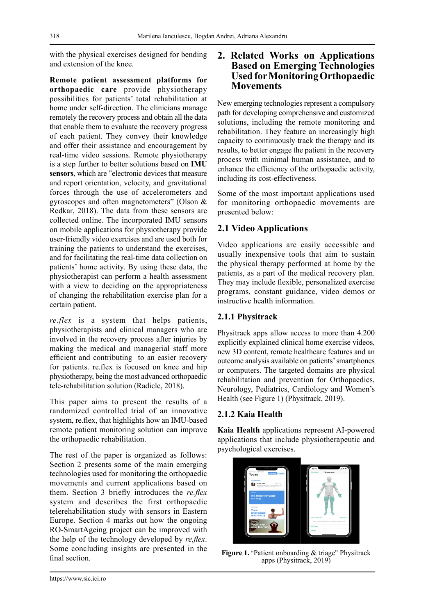with the physical exercises designed for bending and extension of the knee.

**Remote patient assessment platforms for orthopaedic care** provide physiotherapy possibilities for patients' total rehabilitation at home under self-direction. The clinicians manage remotely the recovery process and obtain all the data that enable them to evaluate the recovery progress of each patient. They convey their knowledge and offer their assistance and encouragement by real-time video sessions. Remote physiotherapy is a step further to better solutions based on **IMU sensors**, which are "electronic devices that measure and report orientation, velocity, and gravitational forces through the use of accelerometers and gyroscopes and often magnetometers" (Olson & Redkar, 2018). The data from these sensors are collected online. The incorporated IMU sensors on mobile applications for physiotherapy provide user-friendly video exercises and are used both for training the patients to understand the exercises, and for facilitating the real-time data collection on patients' home activity. By using these data, the physiotherapist can perform a health assessment with a view to deciding on the appropriateness of changing the rehabilitation exercise plan for a certain patient.

*re.flex* is a system that helps patients, physiotherapists and clinical managers who are involved in the recovery process after injuries by making the medical and managerial staff more efficient and contributing to an easier recovery for patients. re.flex is focused on knee and hip physiotherapy, being the most advanced orthopaedic tele-rehabilitation solution (Radicle, 2018).

This paper aims to present the results of a randomized controlled trial of an innovative system, re.flex, that highlights how an IMU-based remote patient monitoring solution can improve the orthopaedic rehabilitation.

The rest of the paper is organized as follows: Section 2 presents some of the main emerging technologies used for monitoring the orthopaedic movements and current applications based on them. Section 3 briefly introduces the *re.flex* system and describes the first orthopaedic telerehabilitation study with sensors in Eastern Europe. Section 4 marks out how the ongoing RO-SmartAgeing project can be improved with the help of the technology developed by *re.flex*. Some concluding insights are presented in the final section.

#### **2. Related Works on Applications Based on Emerging Technologies Used for Monitoring Orthopaedic Movements**

New emerging technologies represent a compulsory path for developing comprehensive and customized solutions, including the remote monitoring and rehabilitation. They feature an increasingly high capacity to continuously track the therapy and its results, to better engage the patient in the recovery process with minimal human assistance, and to enhance the efficiency of the orthopaedic activity, including its cost-effectiveness.

Some of the most important applications used for monitoring orthopaedic movements are presented below:

#### **2.1 Video Applications**

Video applications are easily accessible and usually inexpensive tools that aim to sustain the physical therapy performed at home by the patients, as a part of the medical recovery plan. They may include flexible, personalized exercise programs, constant guidance, video demos or instructive health information.

#### **2.1.1 Physitrack**

Physitrack apps allow access to more than 4.200 explicitly explained clinical home exercise videos, new 3D content, remote healthcare features and an outcome analysis available on patients' smartphones or computers. The targeted domains are physical rehabilitation and prevention for Orthopaedics, Neurology, Pediatrics, Cardiology and Women's Health (see Figure 1) (Physitrack, 2019).

#### **2.1.2 Kaia Health**

**Kaia Health** applications represent AI-powered applications that include physiotherapeutic and psychological exercises.



**Figure 1.** "Patient onboarding & triage" Physitrack apps (Physitrack, 2019)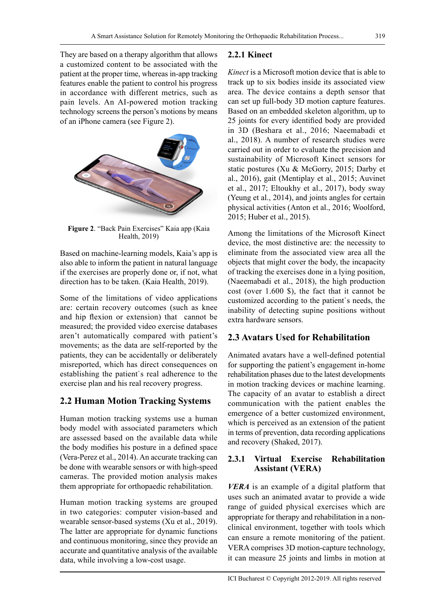They are based on a therapy algorithm that allows a customized content to be associated with the patient at the proper time, whereas in-app tracking features enable the patient to control his progress in accordance with different metrics, such as pain levels. An AI-powered motion tracking technology screens the person's motions by means of an iPhone camera (see Figure 2).



**Figure 2**. "Back Pain Exercises" Kaia app (Kaia Health, 2019)

Based on machine-learning models, Kaia's app is also able to inform the patient in natural language if the exercises are properly done or, if not, what direction has to be taken. (Kaia Health, 2019).

Some of the limitations of video applications are: certain recovery outcomes (such as knee and hip flexion or extension) that cannot be measured; the provided video exercise databases aren't automatically compared with patient's movements; as the data are self-reported by the patients, they can be accidentally or deliberately misreported, which has direct consequences on establishing the patient`s real adherence to the exercise plan and his real recovery progress.

## **2.2 Human Motion Tracking Systems**

Human motion tracking systems use a human body model with associated parameters which are assessed based on the available data while the body modifies his posture in a defined space (Vera-Perez et al., 2014). An accurate tracking can be done with wearable sensors or with high-speed cameras. The provided motion analysis makes them appropriate for orthopaedic rehabilitation.

Human motion tracking systems are grouped in two categories: computer vision-based and wearable sensor-based systems (Xu et al., 2019). The latter are appropriate for dynamic functions and continuous monitoring, since they provide an accurate and quantitative analysis of the available data, while involving a low-cost usage.

#### **2.2.1 Kinect**

*Kinect* is a Microsoft motion device that is able to track up to six bodies inside its associated view area. The device contains a depth sensor that can set up full-body 3D motion capture features. Based on an embedded skeleton algorithm, up to 25 joints for every identified body are provided in 3D (Beshara et al., 2016; Naeemabadi et al., 2018). A number of research studies were carried out in order to evaluate the precision and sustainability of Microsoft Kinect sensors for static postures (Xu & McGorry, 2015; Darby et al., 2016), gait (Mentiplay et al., 2015; Auvinet et al., 2017; Eltoukhy et al., 2017), body sway (Yeung et al., 2014), and joints angles for certain physical activities (Anton et al., 2016; Woolford, 2015; Huber et al., 2015).

Among the limitations of the Microsoft Kinect device, the most distinctive are: the necessity to eliminate from the associated view area all the objects that might cover the body, the incapacity of tracking the exercises done in a lying position, (Naeemabadi et al., 2018), the high production cost (over 1.600 \$), the fact that it cannot be customized according to the patient`s needs, the inability of detecting supine positions without extra hardware sensors.

### **2.3 Avatars Used for Rehabilitation**

Animated avatars have a well-defined potential for supporting the patient's engagement in-home rehabilitation phases due to the latest developments in motion tracking devices or machine learning. The capacity of an avatar to establish a direct communication with the patient enables the emergence of a better customized environment, which is perceived as an extension of the patient in terms of prevention, data recording applications and recovery (Shaked, 2017).

#### **2.3.1 Virtual Exercise Rehabilitation Assistant (VERA)**

*VERA* is an example of a digital platform that uses such an animated avatar to provide a wide range of guided physical exercises which are appropriate for therapy and rehabilitation in a nonclinical environment, together with tools which can ensure a remote monitoring of the patient. VERA comprises 3D motion-capture technology, it can measure 25 joints and limbs in motion at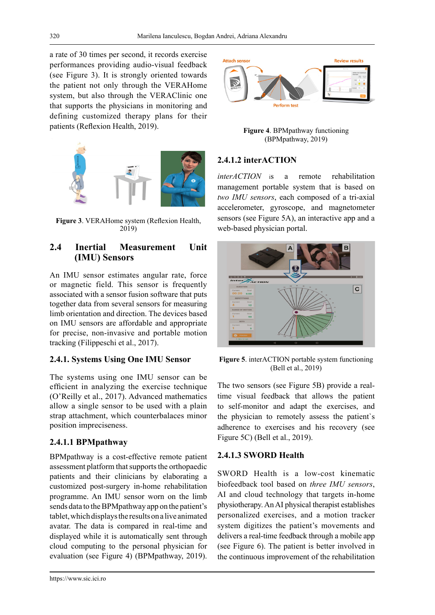a rate of 30 times per second, it records exercise performances providing audio-visual feedback (see Figure 3). It is strongly oriented towards the patient not only through the VERAHome system, but also through the VERAClinic one that supports the physicians in monitoring and defining customized therapy plans for their patients (Reflexion Health, 2019).



**Figure 3**. VERAHome system (Reflexion Health, 2019)

### **2.4 Inertial Measurement Unit (IMU) Sensors**

An IMU sensor estimates angular rate, force or magnetic field. This sensor is frequently associated with a sensor fusion software that puts together data from several sensors for measuring limb orientation and direction. The devices based on IMU sensors are affordable and appropriate for precise, non-invasive and portable motion tracking (Filippeschi et al., 2017).

#### **2.4.1. Systems Using One IMU Sensor**

The systems using one IMU sensor can be efficient in analyzing the exercise technique (O'Reilly et al., 2017). Advanced mathematics allow a single sensor to be used with a plain strap attachment, which counterbalaces minor position impreciseness.

#### **2.4.1.1 BPMpathway**

BPMpathway is a cost-effective remote patient assessment platform that supports the orthopaedic patients and their clinicians by elaborating a customized post-surgery in-home rehabilitation programme. An IMU sensor worn on the limb sends data to the BPMpathway app on the patient's tablet, which displays the results on a live animated avatar. The data is compared in real-time and displayed while it is automatically sent through cloud computing to the personal physician for evaluation (see Figure 4) (BPMpathway, 2019).



**Figure 4**. BPMpathway functioning (BPMpathway, 2019)

#### **2.4.1.2 interACTION**

*interACTION* is a remote rehabilitation management portable system that is based on *two IMU sensors*, each composed of a tri-axial accelerometer, gyroscope, and magnetometer sensors (see Figure 5A), an interactive app and a web-based physician portal.



**Figure 5**. interACTION portable system functioning (Bell et al., 2019)

The two sensors (see Figure 5B) provide a realtime visual feedback that allows the patient to self-monitor and adapt the exercises, and the physician to remotely assess the patient`s adherence to exercises and his recovery (see Figure 5C) (Bell et al., 2019).

#### **2.4.1.3 SWORD Health**

SWORD Health is a low-cost kinematic biofeedback tool based on *three IMU sensors*, AI and cloud technology that targets in-home physiotherapy. An AI physical therapist establishes personalized exercises, and a motion tracker system digitizes the patient's movements and delivers a real-time feedback through a mobile app (see Figure 6). The patient is better involved in the continuous improvement of the rehabilitation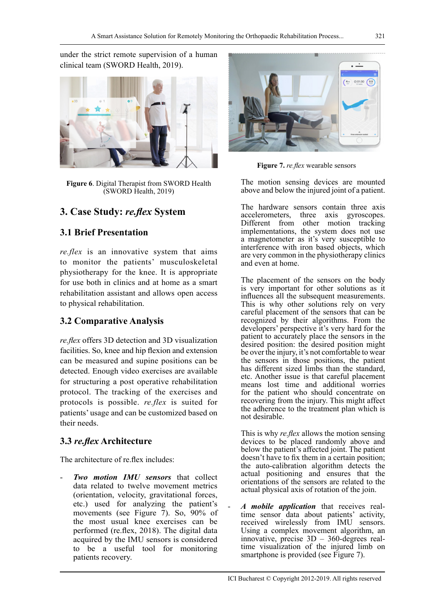under the strict remote supervision of a human clinical team (SWORD Health, 2019).



**Figure 6**. Digital Therapist from SWORD Health (SWORD Health, 2019)

## **3. Case Study:** *re.flex* **System**

### **3.1 Brief Presentation**

*re.flex* is an innovative system that aims to monitor the patients' musculoskeletal physiotherapy for the knee. It is appropriate for use both in clinics and at home as a smart rehabilitation assistant and allows open access to physical rehabilitation.

### **3.2 Comparative Analysis**

*re.flex* offers 3D detection and 3D visualization facilities. So, knee and hip flexion and extension can be measured and supine positions can be detected. Enough video exercises are available for structuring a post operative rehabilitation protocol. The tracking of the exercises and protocols is possible. *re.flex* is suited for patients' usage and can be customized based on their needs.

### **3.3** *re.flex* **Architecture**

The architecture of re flex includes:

- *Two motion IMU sensors* that collect data related to twelve movement metrics (orientation, velocity, gravitational forces, etc.) used for analyzing the patient's movements (see Figure 7). So, 90% of the most usual knee exercises can be performed (re.flex, 2018). The digital data acquired by the IMU sensors is considered to be a useful tool for monitoring patients recovery.



**Figure 7.** *re.flex* wearable sensors

The motion sensing devices are mounted above and below the injured joint of a patient.

The hardware sensors contain three axis accelerometers. three axis gyroscopes. three axis gyroscopes. Different from other motion tracking implementations, the system does not use a magnetometer as it's very susceptible to interference with iron based objects, which are very common in the physiotherapy clinics and even at home.

The placement of the sensors on the body is very important for other solutions as it influences all the subsequent measurements. This is why other solutions rely on very careful placement of the sensors that can be recognized by their algorithms. From the developers' perspective it's very hard for the patient to accurately place the sensors in the desired position: the desired position might be over the injury, it's not comfortable to wear the sensors in those positions, the patient has different sized limbs than the standard, etc. Another issue is that careful placement means lost time and additional worries for the patient who should concentrate on recovering from the injury. This might affect the adherence to the treatment plan which is not desirable.

This is why *re.flex* allows the motion sensing devices to be placed randomly above and below the patient's affected joint. The patient doesn't have to fix them in a certain position; the auto-calibration algorithm detects the actual positioning and ensures that the orientations of the sensors are related to the actual physical axis of rotation of the join.

- *A mobile application* that receives realtime sensor data about patients' activity, received wirelessly from IMU sensors. Using a complex movement algorithm, an innovative, precise 3D – 360-degrees realtime visualization of the injured limb on smartphone is provided (see Figure 7).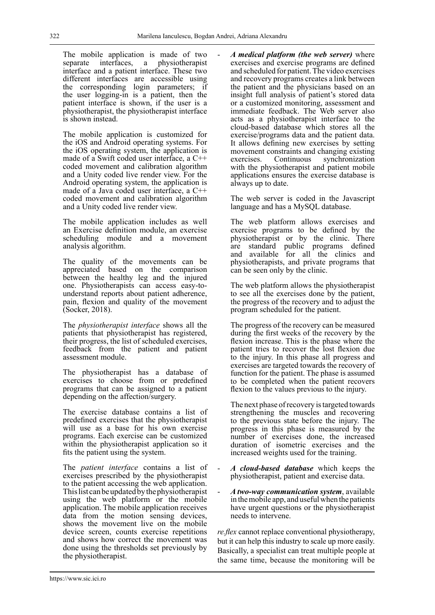The mobile application is made of two separate interfaces, a physiotherapist interface and a patient interface. These two different interfaces are accessible using the corresponding login parameters; if the user logging-in is a patient, then the patient interface is shown, if the user is a physiotherapist, the physiotherapist interface is shown instead.

The mobile application is customized for the iOS and Android operating systems. For the iOS operating system, the application is made of a Swift coded user interface, a C++ coded movement and calibration algorithm and a Unity coded live render view. For the Android operating system, the application is made of a Java coded user interface, a C++ coded movement and calibration algorithm and a Unity coded live render view.

The mobile application includes as well an Exercise definition module, an exercise scheduling module and a movement analysis algorithm.

The quality of the movements can be appreciated based on the comparison between the healthy leg and the injured one. Physiotherapists can access easy-tounderstand reports about patient adherence, pain, flexion and quality of the movement (Socker, 2018).

The *physiotherapist interface* shows all the patients that physiotherapist has registered, their progress, the list of scheduled exercises, feedback from the patient and patient assessment module.

The physiotherapist has a database of exercises to choose from or predefined programs that can be assigned to a patient depending on the affection/surgery.

The exercise database contains a list of predefined exercises that the physiotherapist will use as a base for his own exercise programs. Each exercise can be customized within the physiotherapist application so it fits the patient using the system.

The *patient interface* contains a list of exercises prescribed by the physiotherapist to the patient accessing the web application. This list can be updated by the physiotherapist using the web platform or the mobile application. The mobile application receives data from the motion sensing devices, shows the movement live on the mobile device screen, counts exercise repetitions and shows how correct the movement was done using the thresholds set previously by the physiotherapist.

- *A medical platform (the web server)* where exercises and exercise programs are defined and scheduled for patient. The video exercises and recovery programs creates a link between the patient and the physicians based on an insight full analysis of patient's stored data or a customized monitoring, assessment and immediate feedback. The Web server also acts as a physiotherapist interface to the cloud-based database which stores all the exercise/programs data and the patient data. It allows defining new exercises by setting movement constraints and changing existing exercises. Continuous synchronization with the physiotherapist and patient mobile applications ensures the exercise database is always up to date.

The web server is coded in the Javascript language and has a MySQL database.

The web platform allows exercises and exercise programs to be defined by the physiotherapist or by the clinic. There are standard public programs defined and available for all the clinics and physiotherapists, and private programs that can be seen only by the clinic.

The web platform allows the physiotherapist to see all the exercises done by the patient, the progress of the recovery and to adjust the program scheduled for the patient.

The progress of the recovery can be measured during the first weeks of the recovery by the flexion increase. This is the phase where the patient tries to recover the lost flexion due to the injury. In this phase all progress and exercises are targeted towards the recovery of function for the patient. The phase is assumed to be completed when the patient recovers flexion to the values previous to the injury.

The next phase of recovery is targeted towards strengthening the muscles and recovering to the previous state before the injury. The progress in this phase is measured by the number of exercises done, the increased duration of isometric exercises and the increased weights used for the training.

- *A cloud-based database* which keeps the physiotherapist, patient and exercise data.
- *A two-way communication system*, available in the mobile app, and useful when the patients have urgent questions or the physiotherapist needs to intervene.

*re.flex* cannot replace conventional physiotherapy, but it can help this industry to scale up more easily. Basically, a specialist can treat multiple people at the same time, because the monitoring will be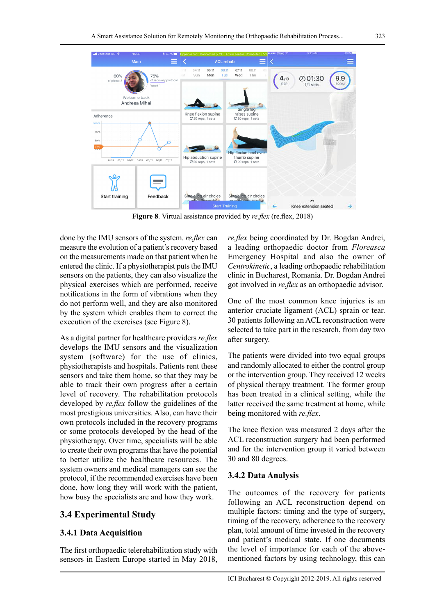

**Figure 8**. Virtual assistance provided by *re.flex* (re.flex, 2018)

done by the IMU sensors of the system. *re.flex* can measure the evolution of a patient's recovery based on the measurements made on that patient when he entered the clinic. If a physiotherapist puts the IMU sensors on the patients, they can also visualize the physical exercises which are performed, receive notifications in the form of vibrations when they do not perform well, and they are also monitored by the system which enables them to correct the execution of the exercises (see Figure 8).

As a digital partner for healthcare providers *re.flex* develops the IMU sensors and the visualization system (software) for the use of clinics, physiotherapists and hospitals. Patients rent these sensors and take them home, so that they may be able to track their own progress after a certain level of recovery. The rehabilitation protocols developed by *re.flex* follow the guidelines of the most prestigious universities. Also, can have their own protocols included in the recovery programs or some protocols developed by the head of the physiotherapy. Over time, specialists will be able to create their own programs that have the potential to better utilize the healthcare resources. The system owners and medical managers can see the protocol, if the recommended exercises have been done, how long they will work with the patient, how busy the specialists are and how they work.

#### **3.4 Experimental Study**

#### **3.4.1 Data Acquisition**

The first orthopaedic telerehabilitation study with sensors in Eastern Europe started in May 2018, *re.flex* being coordinated by Dr. Bogdan Andrei, a leading orthopaedic doctor from *Floreasca* Emergency Hospital and also the owner of *Centrokinetic*, a leading orthopaedic rehabilitation clinic in Bucharest, Romania. Dr. Bogdan Andrei got involved in *re.flex* as an orthopaedic advisor.

One of the most common knee injuries is an anterior cruciate ligament (ACL) sprain or tear. 30 patients following an ACL reconstruction were selected to take part in the research, from day two after surgery.

The patients were divided into two equal groups and randomly allocated to either the control group or the intervention group. They received 12 weeks of physical therapy treatment. The former group has been treated in a clinical setting, while the latter received the same treatment at home, while being monitored with *re.flex*.

The knee flexion was measured 2 days after the ACL reconstruction surgery had been performed and for the intervention group it varied between 30 and 80 degrees.

#### **3.4.2 Data Analysis**

The outcomes of the recovery for patients following an ACL reconstruction depend on multiple factors: timing and the type of surgery, timing of the recovery, adherence to the recovery plan, total amount of time invested in the recovery and patient's medical state. If one documents the level of importance for each of the abovementioned factors by using technology, this can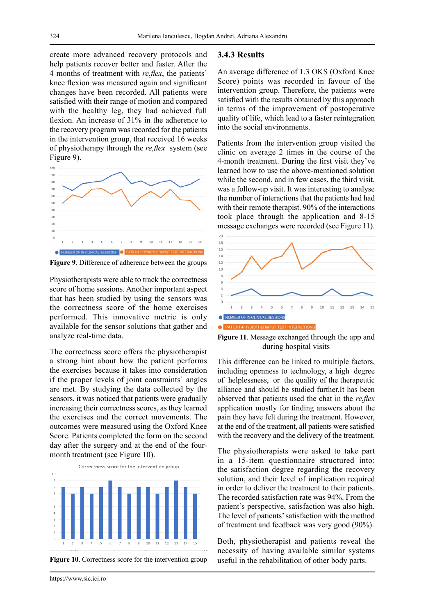create more advanced recovery protocols and help patients recover better and faster. After the 4 months of treatment with *re.flex*, the patients` knee flexion was measured again and significant changes have been recorded. All patients were satisfied with their range of motion and compared with the healthy leg, they had achieved full flexion. An increase of 31% in the adherence to the recovery program was recorded for the patients in the intervention group, that received 16 weeks of physiotherapy through the *re.flex* system (see Figure 9).



**Figure 9**. Difference of adherence between the groups

Physiotherapists were able to track the correctness score of home sessions. Another important aspect that has been studied by using the sensors was the correctness score of the home exercises performed. This innovative metric is only available for the sensor solutions that gather and analyze real-time data.

The correctness score offers the physiotherapist a strong hint about how the patient performs the exercises because it takes into consideration if the proper levels of joint constraints` angles are met. By studying the data collected by the sensors, it was noticed that patients were gradually increasing their correctness scores, as they learned the exercises and the correct movements. The outcomes were measured using the Oxford Knee Score. Patients completed the form on the second day after the surgery and at the end of the fourmonth treatment (see Figure 10).



**Figure 10.** Correctness score for the intervention group

#### **3.4.3 Results**

An average difference of 1.3 OKS (Oxford Knee Score) points was recorded in favour of the intervention group. Therefore, the patients were satisfied with the results obtained by this approach in terms of the improvement of postoperative quality of life, which lead to a faster reintegration into the social environments.

Patients from the intervention group visited the clinic on average 2 times in the course of the 4-month treatment. During the first visit they've learned how to use the above-mentioned solution while the second, and in few cases, the third visit, was a follow-up visit. It was interesting to analyse the number of interactions that the patients had had with their remote therapist. 90% of the interactions took place through the application and 8-15 message exchanges were recorded (see Figure 11).



**Figure 11**. Message exchanged through the app and during hospital visits

This difference can be linked to multiple factors, including openness to technology, a high degree of helplessness, or the quality of the therapeutic alliance and should be studied further.It has been observed that patients used the chat in the *re.flex*  application mostly for finding answers about the pain they have felt during the treatment. However, at the end of the treatment, all patients were satisfied with the recovery and the delivery of the treatment.

The physiotherapists were asked to take part in a 15-item questionnaire structured into: the satisfaction degree regarding the recovery solution, and their level of implication required in order to deliver the treatment to their patients. The recorded satisfaction rate was 94%. From the patient's perspective, satisfaction was also high. The level of patients' satisfaction with the method of treatment and feedback was very good (90%).

Both, physiotherapist and patients reveal the necessity of having available similar systems useful in the rehabilitation of other body parts.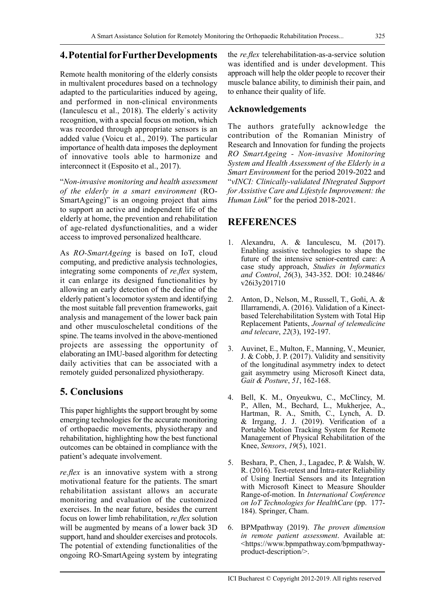## **4. Potential for Further Developments**

Remote health monitoring of the elderly consists in multivalent procedures based on a technology adapted to the particularities induced by ageing, and performed in non-clinical environments (Ianculescu et al., 2018). The elderly`s activity recognition, with a special focus on motion, which was recorded through appropriate sensors is an added value (Voicu et al., 2019). The particular importance of health data imposes the deployment of innovative tools able to harmonize and interconnect it (Esposito et al., 2017).

"*Non-invasive monitoring and health assessment of the elderly in a smart environment* (RO-SmartAgeing)" is an ongoing project that aims to support an active and independent life of the elderly at home, the prevention and rehabilitation of age-related dysfunctionalities, and a wider access to improved personalized healthcare.

As *RO-SmartAgeing* is based on IoT, cloud computing, and predictive analysis technologies, integrating some components of *re.flex* system, it can enlarge its designed functionalities by allowing an early detection of the decline of the elderly patient's locomotor system and identifying the most suitable fall prevention frameworks, gait analysis and management of the lower back pain and other musculoscheletal conditions of the spine. The teams involved in the above-mentioned projects are assessing the opportunity of elaborating an IMU-based algorithm for detecting daily activities that can be associated with a remotely guided personalized physiotherapy.

## **5. Conclusions**

This paper highlights the support brought by some emerging technologies for the accurate monitoring of orthopaedic movements, physiotherapy and rehabilitation, highlighting how the best functional outcomes can be obtained in compliance with the patient's adequate involvement.

*re.flex* is an innovative system with a strong motivational feature for the patients. The smart rehabilitation assistant allows an accurate monitoring and evaluation of the customized exercises. In the near future, besides the current focus on lower limb rehabilitation, *re.flex* solution will be augmented by means of a lower back 3D support, hand and shoulder exercises and protocols. The potential of extending functionalities of the ongoing RO-SmartAgeing system by integrating the *re.flex* telerehabilitation-as-a-service solution was identified and is under development. This approach will help the older people to recover their muscle balance ability, to diminish their pain, and to enhance their quality of life.

#### **Acknowledgements**

The authors gratefully acknowledge the contribution of the Romanian Ministry of Research and Innovation for funding the projects *RO SmartAgeing - Non-invasive Monitoring System and Health Assessment of the Elderly in a Smart Environment* for the period 2019-2022 and "*vINCI: Clinically-validated INtegrated Support for Assistive Care and Lifestyle Improvement: the Human Link*" for the period 2018-2021.

## **REFERENCES**

- 1. Alexandru, A. & Ianculescu, M. (2017). Enabling assistive technologies to shape the future of the intensive senior-centred care: A case study approach, *Studies in Informatics and Control*, *26*(3), 343-352. DOI: 10.24846/ v26i3y201710
- 2. Anton, D., Nelson, M., Russell, T., Goñi, A. & Illarramendi, A. (2016). Validation of a Kinectbased Telerehabilitation System with Total Hip Replacement Patients, *Journal of telemedicine and telecare*, *22*(3), 192-197.
- 3. Auvinet, E., Multon, F., Manning, V., Meunier, J. & Cobb, J. P. (2017). Validity and sensitivity of the longitudinal asymmetry index to detect gait asymmetry using Microsoft Kinect data, *Gait & Posture*, *51*, 162-168.
- 4. Bell, K. M., Onyeukwu, C., McClincy, M. P., Allen, M., Bechard, L., Mukherjee, A., Hartman, R. A., Smith, C., Lynch, A. D. & Irrgang, J. J. (2019). Verification of a Portable Motion Tracking System for Remote Management of Physical Rehabilitation of the Knee, *Sensors*, *19*(5), 1021.
- 5. Beshara, P., Chen, J., Lagadec, P. & Walsh, W. R. (2016). Test-retest and Intra-rater Reliability of Using Inertial Sensors and its Integration with Microsoft Kinect to Measure Shoulder Range-of-motion. In *International Conference on IoT Technologies for HealthCare* (pp. 177- 184). Springer, Cham.
- 6. BPMpathway (2019). *The proven dimension in remote patient assessment*. Available at: <[https://www.bpmpathway.com/bpmpathway](https://www.bpmpathway.com/bpmpathway-product-description/)[product-description/>](https://www.bpmpathway.com/bpmpathway-product-description/).